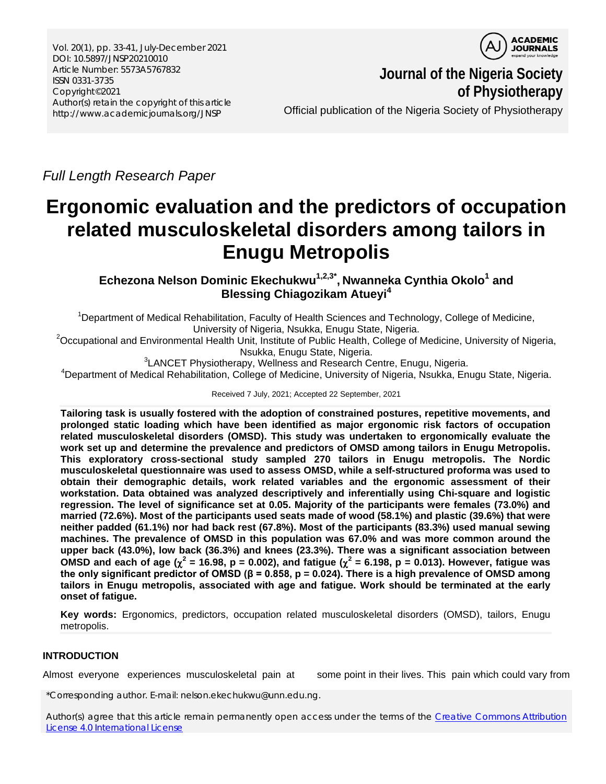Vol. 20(1), pp. 33-41, July-December 2021 DOI: 10.5897/JNSP20210010 Article Number: 5573A5767832 ISSN 0331-3735 Copyright©2021 Author(s) retain the copyright of this article http://www.academicjournals.org/JNSP



**Journal of the Nigeria Society of Physiotherapy**

Official publication of the Nigeria Society of Physiotherapy

*Full Length Research Paper*

# **Ergonomic evaluation and the predictors of occupation related musculoskeletal disorders among tailors in Enugu Metropolis**

**Echezona Nelson Dominic Ekechukwu1,2,3\* , Nwanneka Cynthia Okolo1 and Blessing Chiagozikam Atueyi<sup>4</sup>**

<sup>1</sup>Department of Medical Rehabilitation, Faculty of Health Sciences and Technology, College of Medicine,

University of Nigeria, Nsukka, Enugu State, Nigeria.<br>20ccupational and Environmental Health Unit, Institute of Public Health, College of Medicine, University of Nigeria, Nsukka, Enugu State, Nigeria.<br><sup>3</sup> ANCET Physiotherany, Wellness and Besearch C

LANCET Physiotherapy, Wellness and Research Centre, Enugu, Nigeria.<br>Department of Modical Behabilitation, Cellege of Modicine, University of Nigeria, Naukke, En<sup>4</sup>

<sup>4</sup>Department of Medical Rehabilitation, College of Medicine, University of Nigeria, Nsukka, Enugu State, Nigeria.

Received 7 July, 2021; Accepted 22 September, 2021

**Tailoring task is usually fostered with the adoption of constrained postures, repetitive movements, and prolonged static loading which have been identified as major ergonomic risk factors of occupation related musculoskeletal disorders (OMSD). This study was undertaken to ergonomically evaluate the work set up and determine the prevalence and predictors of OMSD among tailors in Enugu Metropolis. This exploratory cross-sectional study sampled 270 tailors in Enugu metropolis. The Nordic musculoskeletal questionnaire was used to assess OMSD, while a self-structured proforma was used to obtain their demographic details, work related variables and the ergonomic assessment of their workstation. Data obtained was analyzed descriptively and inferentially using Chi-square and logistic regression. The level of significance set at 0.05. Majority of the participants were females (73.0%) and married (72.6%). Most of the participants used seats made of wood (58.1%) and plastic (39.6%) that were neither padded (61.1%) nor had back rest (67.8%). Most of the participants (83.3%) used manual sewing machines. The prevalence of OMSD in this population was 67.0% and was more common around the upper back (43.0%), low back (36.3%) and knees (23.3%). There was a significant association between OMSD** and each of age ( $\chi^2$  = 16.98, p = 0.002), and fatigue ( $\chi^2$  = 6.198, p = 0.013). However, fatigue was **the only significant predictor of OMSD (β = 0.858, p = 0.024). There is a high prevalence of OMSD among tailors in Enugu metropolis, associated with age and fatigue. Work should be terminated at the early onset of fatigue.**

**Key words:** Ergonomics, predictors, occupation related musculoskeletal disorders (OMSD), tailors, Enugu metropolis.

# **INTRODUCTION**

Almost everyone experiences musculoskeletal pain at some point in their lives. This pain which could vary from

\*Corresponding author. E-mail: nelson.ekechukwu@unn.edu.ng.

Author(s) agree that this article remain permanently open access under the terms of the Creative Commons Attribution [License 4.0 International License](http://creativecommons.org/licenses/by/4.0/deed.en_US)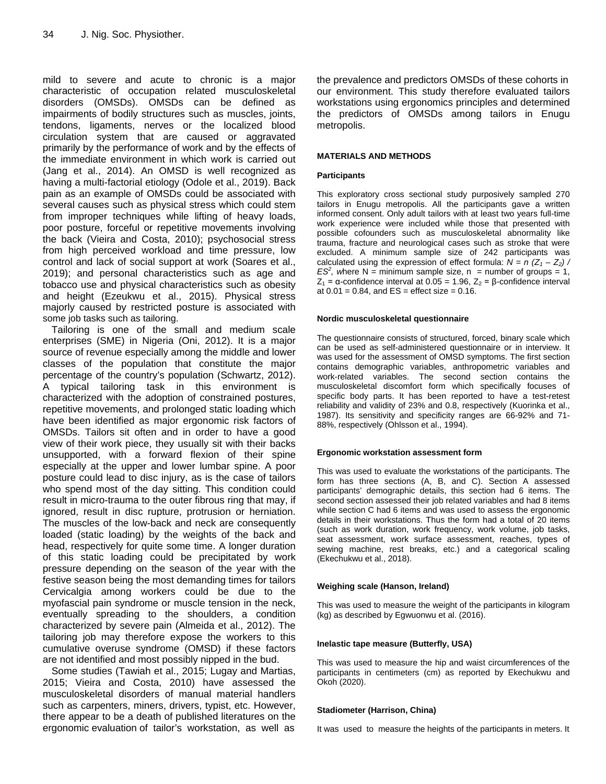mild to severe and acute to chronic is a major characteristic of occupation related musculoskeletal disorders (OMSDs). OMSDs can be defined as impairments of bodily structures such as muscles, joints, tendons, ligaments, nerves or the localized blood circulation system that are caused or aggravated primarily by the performance of work and by the effects of the immediate environment in which work is carried out (Jang et al., 2014). An OMSD is well recognized as having a multi-factorial etiology (Odole et al., 2019). Back pain as an example of OMSDs could be associated with several causes such as physical stress which could stem from improper techniques while lifting of heavy loads, poor posture, forceful or repetitive movements involving the back (Vieira and Costa, 2010); psychosocial stress from high perceived workload and time pressure, low control and lack of social support at work (Soares et al., 2019); and personal characteristics such as age and tobacco use and physical characteristics such as obesity and height (Ezeukwu et al., 2015). Physical stress majorly caused by restricted posture is associated with some job tasks such as tailoring.

Tailoring is one of the small and medium scale enterprises (SME) in Nigeria (Oni, 2012). It is a major source of revenue especially among the middle and lower classes of the population that constitute the major percentage of the country's population (Schwartz, 2012). A typical tailoring task in this environment is characterized with the adoption of constrained postures, repetitive movements, and prolonged static loading which have been identified as major ergonomic risk factors of OMSDs. Tailors sit often and in order to have a good view of their work piece, they usually sit with their backs unsupported, with a forward flexion of their spine especially at the upper and lower lumbar spine. A poor posture could lead to disc injury, as is the case of tailors who spend most of the day sitting. This condition could result in micro-trauma to the outer fibrous ring that may, if ignored, result in disc rupture, protrusion or herniation. The muscles of the low-back and neck are consequently loaded (static loading) by the weights of the back and head, respectively for quite some time. A longer duration of this static loading could be precipitated by work pressure depending on the season of the year with the festive season being the most demanding times for tailors Cervicalgia among workers could be due to the myofascial pain syndrome or muscle tension in the neck, eventually spreading to the shoulders, a condition characterized by severe pain (Almeida et al., 2012). The tailoring job may therefore expose the workers to this cumulative overuse syndrome (OMSD) if these factors are not identified and most possibly nipped in the bud.

Some studies (Tawiah et al., 2015; Lugay and Martias, 2015; Vieira and Costa, 2010) have assessed the musculoskeletal disorders of manual material handlers such as carpenters, miners, drivers, typist, etc. However, there appear to be a death of published literatures on the ergonomic evaluation of tailor's workstation, as well as the prevalence and predictors OMSDs of these cohorts in our environment. This study therefore evaluated tailors workstations using ergonomics principles and determined the predictors of OMSDs among tailors in Enugu metropolis.

### **MATERIALS AND METHODS**

#### **Participants**

This exploratory cross sectional study purposively sampled 270 tailors in Enugu metropolis. All the participants gave a written informed consent. Only adult tailors with at least two years full-time work experience were included while those that presented with possible cofounders such as musculoskeletal abnormality like trauma, fracture and neurological cases such as stroke that were excluded. A minimum sample size of 242 participants was calculated using the expression of effect formula:  $N = n (Z_1 - Z_2)$  /  $ES<sup>2</sup>$ , where N = minimum sample size, n = number of groups = 1,  $Z_1$  = α-confidence interval at 0.05 = 1.96,  $Z_2$  = β-confidence interval at  $0.01 = 0.84$ , and  $ES =$  effect size = 0.16.

#### **Nordic musculoskeletal questionnaire**

The questionnaire consists of structured, forced, binary scale which can be used as self-administered questionnaire or in interview. It was used for the assessment of OMSD symptoms. The first section contains demographic variables, anthropometric variables and work-related variables. The second section contains the musculoskeletal discomfort form which specifically focuses of specific body parts. It has been reported to have a test-retest reliability and validity of 23% and 0.8, respectively (Kuorinka et al., 1987). Its sensitivity and specificity ranges are 66-92% and 71- 88%, respectively (Ohlsson et al., 1994).

#### **Ergonomic workstation assessment form**

This was used to evaluate the workstations of the participants. The form has three sections (A, B, and C). Section A assessed participants' demographic details, this section had 6 items. The second section assessed their job related variables and had 8 items while section C had 6 items and was used to assess the ergonomic details in their workstations. Thus the form had a total of 20 items (such as work duration, work frequency, work volume, job tasks, seat assessment, work surface assessment, reaches, types of sewing machine, rest breaks, etc.) and a categorical scaling (Ekechukwu et al., 2018).

#### **Weighing scale (Hanson, Ireland)**

This was used to measure the weight of the participants in kilogram (kg) as described by Egwuonwu et al. (2016).

#### **Inelastic tape measure (Butterfly, USA)**

This was used to measure the hip and waist circumferences of the participants in centimeters (cm) as reported by Ekechukwu and Okoh (2020).

#### **Stadiometer (Harrison, China)**

It was used to measure the heights of the participants in meters. It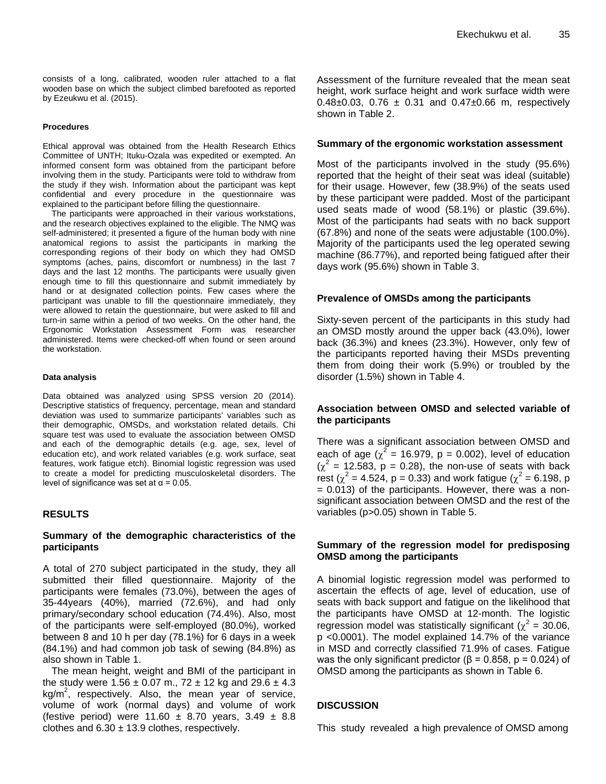consists of a long, calibrated, wooden ruler attached to a flat wooden base on which the subject climbed barefooted as reported by Ezeukwu et al. (2015).

#### **Procedures**

Ethical approval was obtained from the Health Research Ethics Committee of UNTH; Ituku-Ozala was expedited or exempted. An informed consent form was obtained from the participant before involving them in the study. Participants were told to withdraw from the study if they wish. Information about the participant was kept confidential and every procedure in the questionnaire was explained to the participant before filling the questionnaire.

The participants were approached in their various workstations, and the research objectives explained to the eligible. The NMQ was self-administered; it presented a figure of the human body with nine anatomical regions to assist the participants in marking the corresponding regions of their body on which they had OMSD symptoms (aches, pains, discomfort or numbness) in the last 7 days and the last 12 months. The participants were usually given enough time to fill this questionnaire and submit immediately by hand or at designated collection points. Few cases where the participant was unable to fill the questionnaire immediately, they were allowed to retain the questionnaire, but were asked to fill and turn-in same within a period of two weeks. On the other hand, the Ergonomic Workstation Assessment Form was researcher administered. Items were checked-off when found or seen around the workstation.

#### **Data analysis**

Data obtained was analyzed using SPSS version 20 (2014). Descriptive statistics of frequency, percentage, mean and standard deviation was used to summarize participants' variables such as their demographic, OMSDs, and workstation related details. Chi square test was used to evaluate the association between OMSD and each of the demographic details (e.g. age, sex, level of education etc), and work related variables (e.g. work surface, seat features, work fatigue etch). Binomial logistic regression was used to create a model for predicting musculoskeletal disorders. The level of significance was set at  $α = 0.05$ .

#### **RESULTS**

## **Summary of the demographic characteristics of the participants**

A total of 270 subject participated in the study, they all submitted their filled questionnaire. Majority of the participants were females (73.0%), between the ages of 35-44years (40%), married (72.6%), and had only primary/secondary school education (74.4%). Also, most of the participants were self-employed (80.0%), worked between 8 and 10 h per day (78.1%) for 6 days in a week (84.1%) and had common job task of sewing (84.8%) as also shown in Table 1.

The mean height, weight and BMI of the participant in the study were  $1.56 \pm 0.07$  m.,  $72 \pm 12$  kg and  $29.6 \pm 4.3$  $kg/m<sup>2</sup>$ , respectively. Also, the mean year of service, volume of work (normal days) and volume of work (festive period) were 11.60  $\pm$  8.70 years, 3.49  $\pm$  8.8 clothes and  $6.30 \pm 13.9$  clothes, respectively.

Assessment of the furniture revealed that the mean seat height, work surface height and work surface width were  $0.48\pm0.03$ ,  $0.76 \pm 0.31$  and  $0.47\pm0.66$  m, respectively shown in Table 2.

#### **Summary of the ergonomic workstation assessment**

Most of the participants involved in the study (95.6%) reported that the height of their seat was ideal (suitable) for their usage. However, few (38.9%) of the seats used by these participant were padded. Most of the participant used seats made of wood (58.1%) or plastic (39.6%). Most of the participants had seats with no back support (67.8%) and none of the seats were adjustable (100.0%). Majority of the participants used the leg operated sewing machine (86.77%), and reported being fatigued after their days work (95.6%) shown in Table 3.

## **Prevalence of OMSDs among the participants**

Sixty-seven percent of the participants in this study had an OMSD mostly around the upper back (43.0%), lower back (36.3%) and knees (23.3%). However, only few of the participants reported having their MSDs preventing them from doing their work (5.9%) or troubled by the disorder (1.5%) shown in Table 4.

## **Association between OMSD and selected variable of the participants**

There was a significant association between OMSD and each of age ( $\chi^2$  = 16.979, p = 0.002), level of education  $(\chi^2 = 12.583, p = 0.28)$ , the non-use of seats with back rest ( $\chi^2$  = 4.524, p = 0.33) and work fatigue ( $\chi^2$  = 6.198, p = 0.013) of the participants. However, there was a nonsignificant association between OMSD and the rest of the variables (p>0.05) shown in Table 5.

## **Summary of the regression model for predisposing OMSD among the participants**

A binomial logistic regression model was performed to ascertain the effects of age, level of education, use of seats with back support and fatigue on the likelihood that the participants have OMSD at 12-month. The logistic regression model was statistically significant ( $\chi^2$  = 30.06, p <0.0001). The model explained 14.7% of the variance in MSD and correctly classified 71.9% of cases. Fatigue was the only significant predictor ( $\beta$  = 0.858, p = 0.024) of OMSD among the participants as shown in Table 6.

#### **DISCUSSION**

This study revealed a high prevalence of OMSD among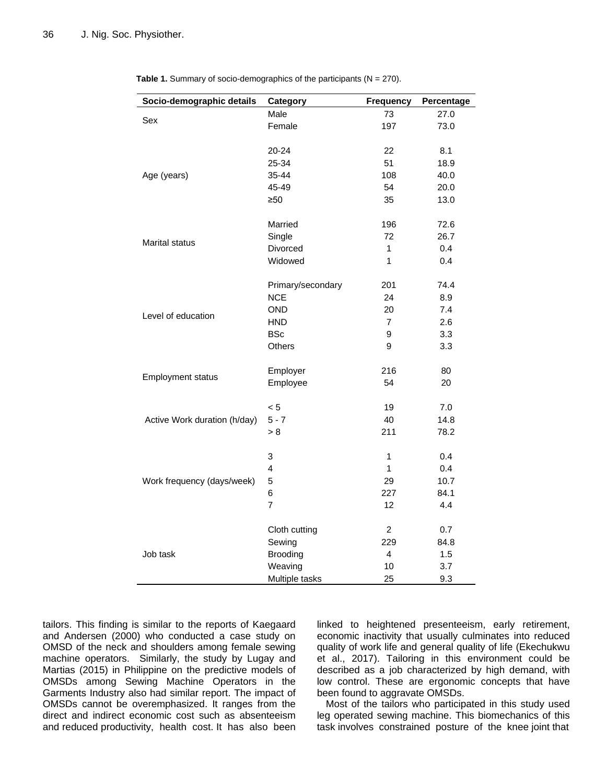| Socio-demographic details    | Category          | <b>Frequency</b> | Percentage |
|------------------------------|-------------------|------------------|------------|
|                              | Male              | 73               | 27.0       |
| Sex                          | Female            | 197              | 73.0       |
|                              |                   |                  |            |
|                              | 20-24             | 22               | 8.1        |
|                              | 25-34             | 51               | 18.9       |
| Age (years)                  | 35-44             | 108              | 40.0       |
|                              | 45-49             | 54               | 20.0       |
|                              | $\geq 50$         | 35               | 13.0       |
|                              |                   |                  |            |
|                              | Married           | 196              | 72.6       |
|                              | Single            | 72               | 26.7       |
| Marital status               | Divorced          | 1                | 0.4        |
|                              | Widowed           | 1                | 0.4        |
|                              |                   |                  |            |
|                              | Primary/secondary | 201              | 74.4       |
|                              | <b>NCE</b>        | 24               | 8.9        |
| Level of education           | <b>OND</b>        | 20               | 7.4        |
|                              | <b>HND</b>        | $\overline{7}$   | 2.6        |
|                              | <b>BSc</b>        | 9                | 3.3        |
|                              | <b>Others</b>     | 9                | 3.3        |
|                              |                   |                  |            |
| <b>Employment status</b>     | Employer          | 216              | 80         |
|                              | Employee          | 54               | 20         |
|                              |                   |                  |            |
|                              | < 5               | 19               | 7.0        |
| Active Work duration (h/day) | $5 - 7$           | 40               | 14.8       |
|                              | > 8               | 211              | 78.2       |
|                              |                   |                  |            |
|                              | 3                 | 1                | 0.4        |
|                              | 4                 | 1                | 0.4        |
| Work frequency (days/week)   | 5                 | 29               | 10.7       |
|                              | 6                 | 227              | 84.1       |
|                              | $\overline{7}$    | 12               | 4.4        |
|                              |                   |                  |            |
|                              | Cloth cutting     | $\overline{2}$   | 0.7        |
|                              | Sewing            | 229              | 84.8       |
| Job task                     | <b>Brooding</b>   | 4                | 1.5        |
|                              | Weaving           | 10               | 3.7        |
|                              | Multiple tasks    | 25               | 9.3        |

**Table 1.** Summary of socio-demographics of the participants (N = 270).

tailors. This finding is similar to the reports of Kaegaard and Andersen (2000) who conducted a case study on OMSD of the neck and shoulders among female sewing machine operators. Similarly, the study by Lugay and Martias (2015) in Philippine on the predictive models of OMSDs among Sewing Machine Operators in the Garments Industry also had similar report. The impact of OMSDs cannot be overemphasized. It ranges from the direct and indirect economic cost such as absenteeism and reduced productivity, health cost. It has also been linked to heightened presenteeism, early retirement, economic inactivity that usually culminates into reduced quality of work life and general quality of life (Ekechukwu et al., 2017). Tailoring in this environment could be described as a job characterized by high demand, with low control. These are ergonomic concepts that have been found to aggravate OMSDs.

Most of the tailors who participated in this study used leg operated sewing machine. This biomechanics of this task involves constrained posture of the knee joint that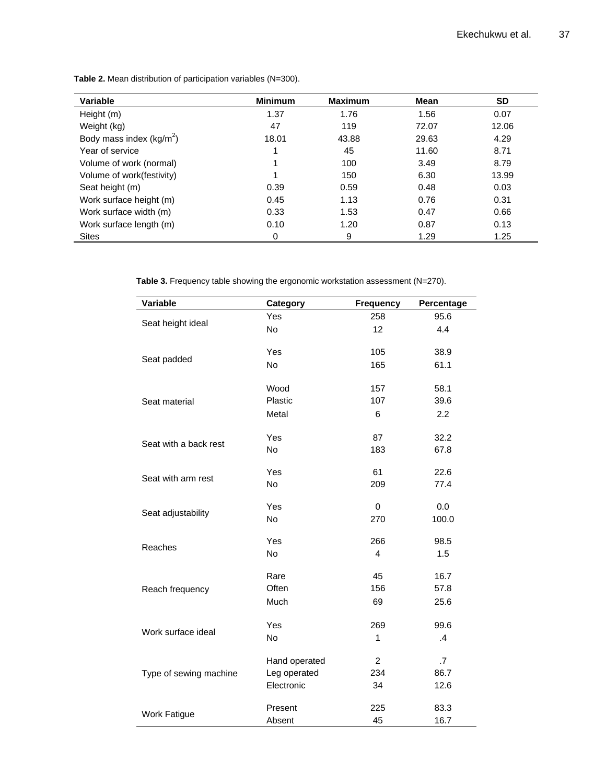| Variable                   | <b>Minimum</b> | <b>Maximum</b> | Mean  | <b>SD</b> |
|----------------------------|----------------|----------------|-------|-----------|
| Height (m)                 | 1.37           | 1.76           | 1.56  | 0.07      |
| Weight (kg)                | 47             | 119            | 72.07 | 12.06     |
| Body mass index $(kg/m^2)$ | 18.01          | 43.88          | 29.63 | 4.29      |
| Year of service            |                | 45             | 11.60 | 8.71      |
| Volume of work (normal)    |                | 100            | 3.49  | 8.79      |
| Volume of work(festivity)  |                | 150            | 6.30  | 13.99     |
| Seat height (m)            | 0.39           | 0.59           | 0.48  | 0.03      |
| Work surface height (m)    | 0.45           | 1.13           | 0.76  | 0.31      |
| Work surface width (m)     | 0.33           | 1.53           | 0.47  | 0.66      |
| Work surface length (m)    | 0.10           | 1.20           | 0.87  | 0.13      |
| <b>Sites</b>               | 0              | 9              | 1.29  | 1.25      |

**Table 2.** Mean distribution of participation variables (N=300).

Table 3. Frequency table showing the ergonomic workstation assessment (N=270).

| Variable               | Category      | <b>Frequency</b> | Percentage |
|------------------------|---------------|------------------|------------|
|                        | Yes           | 258              | 95.6       |
| Seat height ideal      | No            | 12               | 4.4        |
|                        | Yes           | 105              | 38.9       |
| Seat padded            | No            | 165              | 61.1       |
|                        | Wood          | 157              | 58.1       |
| Seat material          | Plastic       | 107              | 39.6       |
|                        | Metal         | 6                | 2.2        |
|                        | Yes           | 87               | 32.2       |
| Seat with a back rest  | No            | 183              | 67.8       |
|                        | Yes           | 61               | 22.6       |
| Seat with arm rest     | <b>No</b>     | 209              | 77.4       |
|                        | Yes           | $\mathbf 0$      | 0.0        |
| Seat adjustability     | No            | 270              | 100.0      |
|                        | Yes           | 266              | 98.5       |
| Reaches                | No            | $\overline{4}$   | 1.5        |
|                        | Rare          | 45               | 16.7       |
| Reach frequency        | Often         | 156              | 57.8       |
|                        | Much          | 69               | 25.6       |
|                        | Yes           | 269              | 99.6       |
| Work surface ideal     | No            | 1                | .4         |
| Type of sewing machine | Hand operated | $\overline{a}$   | .7         |
|                        | Leg operated  | 234              | 86.7       |
|                        | Electronic    | 34               | 12.6       |
|                        | Present       | 225              | 83.3       |
| <b>Work Fatigue</b>    | Absent        | 45               | 16.7       |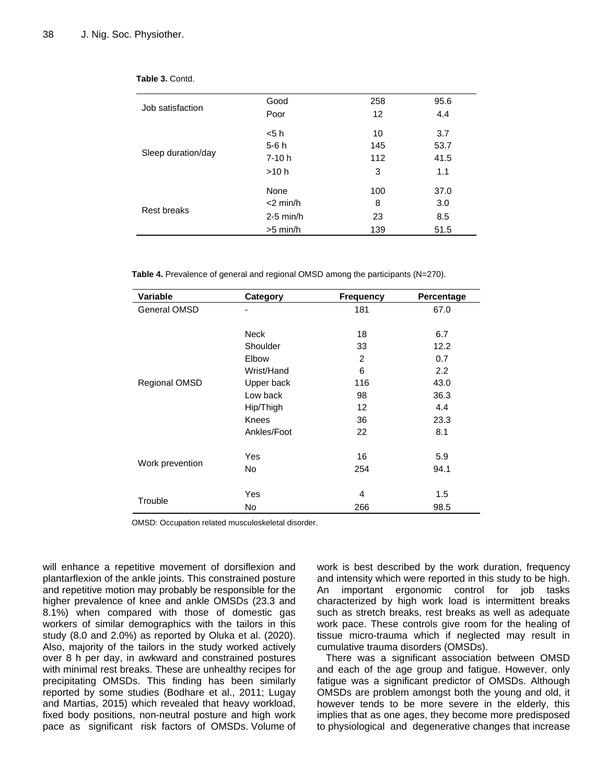|                    | Good        | 258 | 95.6 |
|--------------------|-------------|-----|------|
| Job satisfaction   | Poor        | 12  | 4.4  |
|                    | < 5 h       | 10  | 3.7  |
|                    | $5-6h$      | 145 | 53.7 |
| Sleep duration/day | $7-10h$     | 112 | 41.5 |
|                    | >10 h       | 3   | 1.1  |
|                    | None        | 100 | 37.0 |
| Rest breaks        | $<$ 2 min/h | 8   | 3.0  |
|                    | $2-5$ min/h | 23  | 8.5  |
|                    | $>5$ min/h  | 139 | 51.5 |
|                    |             |     |      |

|--|

**Table 4.** Prevalence of general and regional OMSD among the participants (N=270).

| Variable        | <b>Category</b> | <b>Frequency</b> | Percentage |
|-----------------|-----------------|------------------|------------|
| General OMSD    |                 | 181              | 67.0       |
|                 |                 |                  |            |
|                 | <b>Neck</b>     | 18               | 6.7        |
|                 | Shoulder        | 33               | 12.2       |
|                 | Elbow           | 2                | 0.7        |
|                 | Wrist/Hand      | 6                | 2.2        |
| Regional OMSD   | Upper back      | 116              | 43.0       |
|                 | Low back        | 98               | 36.3       |
|                 | Hip/Thigh       | 12               | 4.4        |
|                 | <b>Knees</b>    | 36               | 23.3       |
|                 | Ankles/Foot     | 22               | 8.1        |
|                 |                 |                  |            |
| Work prevention | Yes             | 16               | 5.9        |
|                 | No              | 254              | 94.1       |
|                 |                 |                  |            |
|                 | Yes             | 4                | $1.5\,$    |
| Trouble         | <b>No</b>       | 266              | 98.5       |

OMSD: Occupation related musculoskeletal disorder.

will enhance a repetitive movement of dorsiflexion and plantarflexion of the ankle joints. This constrained posture and repetitive motion may probably be responsible for the higher prevalence of knee and ankle OMSDs (23.3 and 8.1%) when compared with those of domestic gas workers of similar demographics with the tailors in this study (8.0 and 2.0%) as reported by Oluka et al. (2020). Also, majority of the tailors in the study worked actively over 8 h per day, in awkward and constrained postures with minimal rest breaks. These are unhealthy recipes for precipitating OMSDs. This finding has been similarly reported by some studies (Bodhare et al., 2011; Lugay and Martias, 2015) which revealed that heavy workload, fixed body positions, non-neutral posture and high work pace as significant risk factors of OMSDs. Volume of work is best described by the work duration, frequency and intensity which were reported in this study to be high. An important ergonomic control for job tasks characterized by high work load is intermittent breaks such as stretch breaks, rest breaks as well as adequate work pace. These controls give room for the healing of tissue micro-trauma which if neglected may result in cumulative trauma disorders (OMSDs).

There was a significant association between OMSD and each of the age group and fatigue. However, only fatigue was a significant predictor of OMSDs. Although OMSDs are problem amongst both the young and old, it however tends to be more severe in the elderly, this implies that as one ages, they become more predisposed to physiological and degenerative changes that increase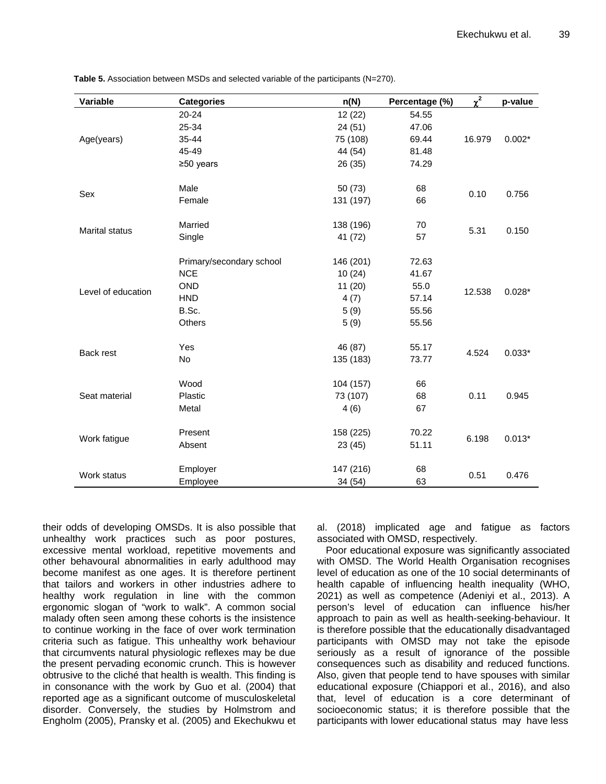| Variable              | <b>Categories</b>        | n(N)      | Percentage (%) | $\chi^2$ | p-value  |
|-----------------------|--------------------------|-----------|----------------|----------|----------|
|                       | $20 - 24$                | 12 (22)   | 54.55          |          |          |
|                       | 25-34                    | 24(51)    | 47.06          |          |          |
| Age(years)            | $35 - 44$                | 75 (108)  | 69.44          | 16.979   | $0.002*$ |
|                       | 45-49                    | 44 (54)   | 81.48          |          |          |
|                       | $≥50$ years              | 26 (35)   | 74.29          |          |          |
| Sex                   | Male                     | 50(73)    | 68             |          |          |
|                       | Female                   | 131 (197) | 66             | 0.10     | 0.756    |
|                       | Married                  | 138 (196) | 70             |          |          |
| <b>Marital status</b> | Single                   | 41 (72)   | 57             | 5.31     | 0.150    |
|                       | Primary/secondary school | 146 (201) | 72.63          |          |          |
|                       | <b>NCE</b>               | 10(24)    | 41.67          |          |          |
|                       | <b>OND</b>               | 11(20)    | 55.0           | 12.538   | $0.028*$ |
| Level of education    | <b>HND</b>               | 4(7)      | 57.14          |          |          |
|                       | B.Sc.                    | 5(9)      | 55.56          |          |          |
|                       | Others                   | 5(9)      | 55.56          |          |          |
|                       | Yes                      | 46 (87)   | 55.17          |          |          |
| Back rest             | No                       | 135 (183) | 73.77          | 4.524    | $0.033*$ |
|                       | Wood                     | 104 (157) | 66             |          |          |
| Seat material         | Plastic                  | 73 (107)  | 68             | 0.11     | 0.945    |
|                       | Metal                    | 4(6)      | 67             |          |          |
|                       | Present                  | 158 (225) | 70.22          |          |          |
| Work fatigue          | Absent                   | 23(45)    | 51.11          | 6.198    | $0.013*$ |
|                       | Employer                 | 147 (216) | 68             |          |          |
| Work status           | Employee                 | 34 (54)   | 63             | 0.51     | 0.476    |

**Table 5.** Association between MSDs and selected variable of the participants (N=270).

their odds of developing OMSDs. It is also possible that unhealthy work practices such as poor postures, excessive mental workload, repetitive movements and other behavoural abnormalities in early adulthood may become manifest as one ages. It is therefore pertinent that tailors and workers in other industries adhere to healthy work regulation in line with the common ergonomic slogan of "work to walk". A common social malady often seen among these cohorts is the insistence to continue working in the face of over work termination criteria such as fatigue. This unhealthy work behaviour that circumvents natural physiologic reflexes may be due the present pervading economic crunch. This is however obtrusive to the cliché that health is wealth. This finding is in consonance with the work by Guo et al. (2004) that reported age as a significant outcome of musculoskeletal disorder. Conversely, the studies by Holmstrom and Engholm (2005), Pransky et al. (2005) and Ekechukwu et

al. (2018) implicated age and fatigue as factors associated with OMSD, respectively.

Poor educational exposure was significantly associated with OMSD. The World Health Organisation recognises level of education as one of the 10 social determinants of health capable of influencing health inequality (WHO, 2021) as well as competence (Adeniyi et al., 2013). A person's level of education can influence his/her approach to pain as well as health-seeking-behaviour. It is therefore possible that the educationally disadvantaged participants with OMSD may not take the episode seriously as a result of ignorance of the possible consequences such as disability and reduced functions. Also, given that people tend to have spouses with similar educational exposure (Chiappori et al., 2016), and also that, level of education is a core determinant of socioeconomic status; it is therefore possible that the participants with lower educational status may have less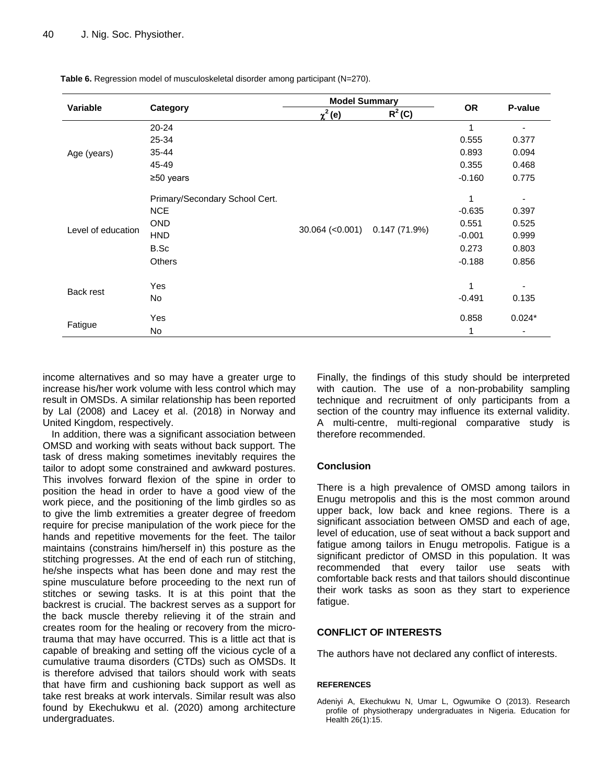| Variable           | Category                       | <b>Model Summary</b> |              |           |                          |
|--------------------|--------------------------------|----------------------|--------------|-----------|--------------------------|
|                    |                                | $\chi^2$ (e)         | $R^2$ (C)    | <b>OR</b> | P-value                  |
|                    | 20-24                          |                      |              | 1         |                          |
|                    | 25-34                          |                      |              | 0.555     | 0.377                    |
| Age (years)        | 35-44                          |                      |              | 0.893     | 0.094                    |
|                    | 45-49                          |                      |              | 0.355     | 0.468                    |
|                    | $\geq 50$ years                |                      |              | $-0.160$  | 0.775                    |
|                    | Primary/Secondary School Cert. | $30.064$ (<0.001)    | 0.147(71.9%) | 1         | $\overline{\phantom{a}}$ |
|                    | <b>NCE</b>                     |                      |              | $-0.635$  | 0.397                    |
|                    | <b>OND</b>                     |                      |              | 0.551     | 0.525                    |
| Level of education | <b>HND</b>                     |                      |              | $-0.001$  | 0.999                    |
|                    | B.Sc                           |                      |              | 0.273     | 0.803                    |
|                    | <b>Others</b>                  |                      |              | $-0.188$  | 0.856                    |
| Back rest          | Yes                            |                      |              | 1         |                          |
|                    | No                             |                      |              | $-0.491$  | 0.135                    |
| Fatigue            | Yes                            |                      |              | 0.858     | $0.024*$                 |
|                    | No                             |                      |              | 1         | ۰                        |

**Table 6.** Regression model of musculoskeletal disorder among participant (N=270).

income alternatives and so may have a greater urge to increase his/her work volume with less control which may result in OMSDs. A similar relationship has been reported by Lal (2008) and Lacey et al. (2018) in Norway and United Kingdom, respectively.

In addition, there was a significant association between OMSD and working with seats without back support. The task of dress making sometimes inevitably requires the tailor to adopt some constrained and awkward postures. This involves forward flexion of the spine in order to position the head in order to have a good view of the work piece, and the positioning of the limb girdles so as to give the limb extremities a greater degree of freedom require for precise manipulation of the work piece for the hands and repetitive movements for the feet. The tailor maintains (constrains him/herself in) this posture as the stitching progresses. At the end of each run of stitching, he/she inspects what has been done and may rest the spine musculature before proceeding to the next run of stitches or sewing tasks. It is at this point that the backrest is crucial. The backrest serves as a support for the back muscle thereby relieving it of the strain and creates room for the healing or recovery from the microtrauma that may have occurred. This is a little act that is capable of breaking and setting off the vicious cycle of a cumulative trauma disorders (CTDs) such as OMSDs. It is therefore advised that tailors should work with seats that have firm and cushioning back support as well as take rest breaks at work intervals. Similar result was also found by Ekechukwu et al. (2020) among architecture undergraduates.

Finally, the findings of this study should be interpreted with caution. The use of a non-probability sampling technique and recruitment of only participants from a section of the country may influence its external validity. A multi-centre, multi-regional comparative study is therefore recommended.

## **Conclusion**

There is a high prevalence of OMSD among tailors in Enugu metropolis and this is the most common around upper back, low back and knee regions. There is a significant association between OMSD and each of age, level of education, use of seat without a back support and fatigue among tailors in Enugu metropolis. Fatigue is a significant predictor of OMSD in this population. It was recommended that every tailor use seats with comfortable back rests and that tailors should discontinue their work tasks as soon as they start to experience fatigue.

# **CONFLICT OF INTERESTS**

The authors have not declared any conflict of interests.

## **REFERENCES**

Adeniyi A, Ekechukwu N, Umar L, Ogwumike O (2013). Research profile of physiotherapy undergraduates in Nigeria. Education for Health 26(1):15.